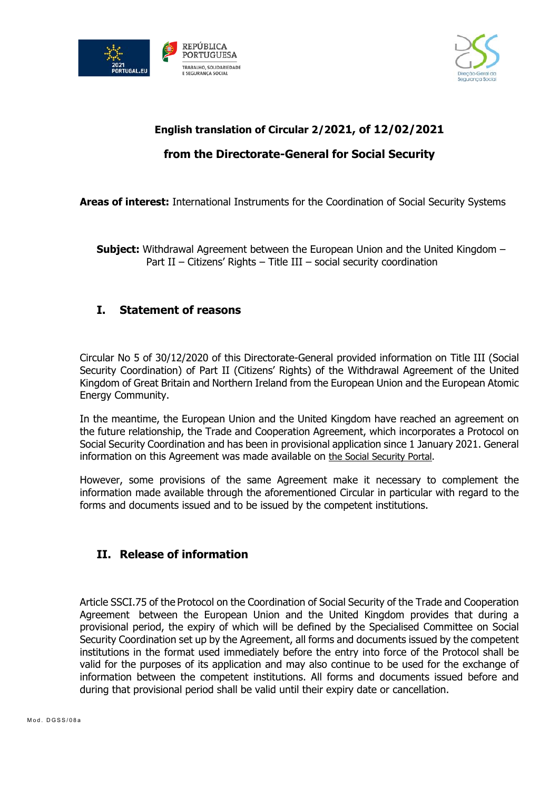



## **English translation of Circular 2/2021, of 12/02/2021**

## **from the Directorate-General for Social Security**

**Areas of interest:** International Instruments for the Coordination of Social Security Systems

**Subject:** Withdrawal Agreement between the European Union and the United Kingdom – Part II – Citizens' Rights – Title III – social security coordination

## **I. Statement of reasons**

Circular No 5 of 30/12/2020 of this Directorate-General provided information on Title III (Social Security Coordination) of Part II (Citizens' Rights) of the Withdrawal Agreement of the United Kingdom of Great Britain and Northern Ireland from the European Union and the European Atomic Energy Community.

In the meantime, the European Union and the United Kingdom have reached an agreement on the future relationship, the Trade and Cooperation Agreement, which incorporates a Protocol on Social Security Coordination and has been in provisional application since 1 January 2021. General information on this Agreement was made available on the Social Security Portal.

However, some provisions of the same Agreement make it necessary to complement the information made available through the aforementioned Circular in particular with regard to the forms and documents issued and to be issued by the competent institutions.

## **II. Release of information**

Article SSCI.75 of the Protocol on the Coordination of Social Security of the Trade and Cooperation Agreement between the European Union and the United Kingdom provides that during a provisional period, the expiry of which will be defined by the Specialised Committee on Social Security Coordination set up by the Agreement, all forms and documents issued by the competent institutions in the format used immediately before the entry into force of the Protocol shall be valid for the purposes of its application and may also continue to be used for the exchange of information between the competent institutions. All forms and documents issued before and during that provisional period shall be valid until their expiry date or cancellation.